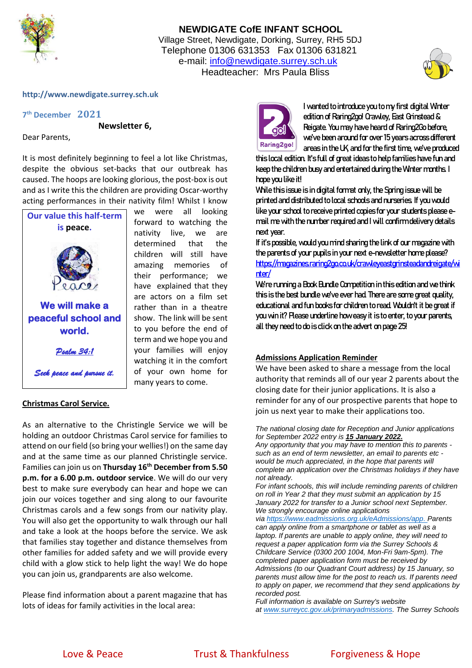

# **NEWDIGATE CofE INFANT SCHOOL** Village Street, Newdigate, Dorking, Surrey, RH5 5DJ Telephone 01306 631353 Fax 01306 631821 e-mail: [info@newdigate.surrey.sch.uk](mailto:info@newdigate.surrey.sch.uk) Headteacher: Mrs Paula Bliss



### **http://www.newdigate.surrey.sch.uk**

**7 th December 2021**

**Newsletter 6,** 

Dear Parents,

It is most definitely beginning to feel a lot like Christmas, despite the obvious set-backs that our outbreak has caused. The hoops are looking glorious, the post-box is out and as I write this the children are providing Oscar-worthy acting performances in their nativity film! Whilst I know



### **Christmas Carol Service.**

As an alternative to the Christingle Service we will be holding an outdoor Christmas Carol service for families to attend on our field (so bring your wellies!) on the same day and at the same time as our planned Christingle service. Families can join us on **Thursday 16th December from 5.50 p.m. for a 6.00 p.m. outdoor service**. We will do our very best to make sure everybody can hear and hope we can join our voices together and sing along to our favourite Christmas carols and a few songs from our nativity play. You will also get the opportunity to walk through our hall and take a look at the hoops before the service. We ask that families stay together and distance themselves from other families for added safety and we will provide every child with a glow stick to help light the way! We do hope you can join us, grandparents are also welcome.

Please find information about a parent magazine that has lots of ideas for family activities in the local area:



I wanted to introduceyou to my first digital Winter edition of Raring2go! Crawley, East Grinstead & Reigate. You may have heard of Raring2Go before, we've been around for over 15 years across different areas in the UK, and for the first time, we've produced

this localedition. It's full of great ideas to help families have fun and keep the children busy and entertained during the Winter months. I hope you like it!

While this issue is in digital format only, the Spring issue will be printed and distributed to local schools and nurseries. If you would like your school to receive printed copies for your students please email me with the number required and I will confirm delivery details next year.

If it's possible, would you mind sharing the link of our magazine with the parents of your pupils in your next e-newsletter home please? [https://magazines.raring2go.co.uk/crawleyeastgrinsteadandreigate/wi](https://magazines.raring2go.co.uk/crawleyeastgrinsteadandreigate/winter/) [nter/](https://magazines.raring2go.co.uk/crawleyeastgrinsteadandreigate/winter/)

We're running a Book Bundle Competition in this edition and we think this is the best bundle we've ever had. There are some great quality, educational and fun books for children to read. Wouldn't it be great if you win it? Please underline how easy it is to enter, to your parents, all they need to do is click on the advert on page 25!

#### **Admissions Application Reminder**

We have been asked to share a message from the local authority that reminds all of our year 2 parents about the closing date for their junior applications. It is also a reminder for any of our prospective parents that hope to join us next year to make their applications too.

*The national closing date for Reception and Junior applications for September 2022 entry is 15 January 2022.*

*Any opportunity that you may have to mention this to parents such as an end of term newsletter, an email to parents etc would be much appreciated, in the hope that parents will complete an application over the Christmas holidays if they have not already.*

*For infant schools, this will include reminding parents of children on roll in Year 2 that they must submit an application by 15 January 2022 for transfer to a Junior school next September. We strongly encourage online applications*

*via [https://www.eadmissions.org.uk/eAdmissions/app.](https://www.eadmissions.org.uk/eAdmissions/app) Parents can apply online from a smartphone or tablet as well as a laptop. If parents are unable to apply online, they will need to request a paper application form via the Surrey Schools & Childcare Service (0300 200 1004, Mon-Fri 9am-5pm). The completed paper application form must be received by Admissions (to our Quadrant Court address) by 15 January, so parents must allow time for the post to reach us. If parents need to apply on paper, we recommend that they send applications by recorded post.*

*Full information is available on Surrey's website at [www.surreycc.gov.uk/primaryadmissions.](http://www.surreycc.gov.uk/primaryadmissions) The Surrey Schools*

Love & Peace Trust & Thankfulness Forgiveness & Hope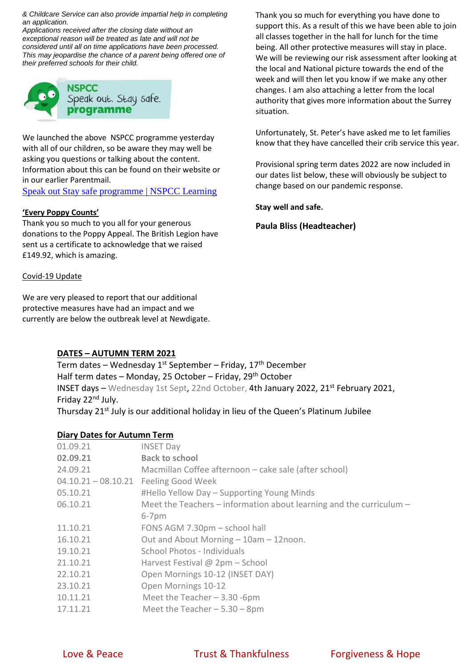*& Childcare Service can also provide impartial help in completing an application.*

*Applications received after the closing date without an exceptional reason will be treated as late and will not be considered until all on time applications have been processed. This may jeopardise the chance of a parent being offered one of their preferred schools for their child.*



We launched the above NSPCC programme yesterday with all of our children, so be aware they may well be asking you questions or talking about the content. Information about this can be found on their website or in our earlier Parentmail.

[Speak out Stay safe programme | NSPCC Learning](https://learning.nspcc.org.uk/services/speak-out-stay-safe)

## **'Every Poppy Counts'**

Thank you so much to you all for your generous donations to the Poppy Appeal. The British Legion have sent us a certificate to acknowledge that we raised £149.92, which is amazing.

## Covid-19 Update

We are very pleased to report that our additional protective measures have had an impact and we currently are below the outbreak level at Newdigate.

## **DATES – AUTUMN TERM 2021**

Term dates – Wednesday  $1^{st}$  September – Friday,  $17^{th}$  December Half term dates – Monday, 25 October – Friday, 29<sup>th</sup> October INSET days - Wednesday 1st Sept, 22nd October, 4th January 2022, 21st February 2021, Friday 22<sup>nd</sup> July. Thursday 21<sup>st</sup> July is our additional holiday in lieu of the Queen's Platinum Jubilee

## **Diary Dates for Autumn Term**

| 01.09.21              | <b>INSET Day</b>                                                        |
|-----------------------|-------------------------------------------------------------------------|
| 02.09.21              | <b>Back to school</b>                                                   |
| 24.09.21              | Macmillan Coffee afternoon – cake sale (after school)                   |
| $04.10.21 - 08.10.21$ | <b>Feeling Good Week</b>                                                |
| 05.10.21              | #Hello Yellow Day - Supporting Young Minds                              |
| 06.10.21              | Meet the Teachers $-$ information about learning and the curriculum $-$ |
|                       | $6-7$ pm                                                                |
| 11.10.21              | FONS AGM 7.30pm - school hall                                           |
| 16.10.21              | Out and About Morning - 10am - 12noon.                                  |
| 19.10.21              | School Photos - Individuals                                             |
| 21.10.21              | Harvest Festival $@$ 2pm – School                                       |
| 22.10.21              | Open Mornings 10-12 (INSET DAY)                                         |
| 23.10.21              | Open Mornings 10-12                                                     |
| 10.11.21              | Meet the Teacher $-3.30$ -6pm                                           |
| 17.11.21              | Meet the Teacher $-5.30 - 8$ pm                                         |

Thank you so much for everything you have done to support this. As a result of this we have been able to join all classes together in the hall for lunch for the time being. All other protective measures will stay in place. We will be reviewing our risk assessment after looking at the local and National picture towards the end of the week and will then let you know if we make any other changes. I am also attaching a letter from the local authority that gives more information about the Surrey situation.

Unfortunately, St. Peter's have asked me to let families know that they have cancelled their crib service this year.

Provisional spring term dates 2022 are now included in our dates list below, these will obviously be subject to change based on our pandemic response.

**Stay well and safe.**

**Paula Bliss (Headteacher)**

Love & Peace Trust & Thankfulness Forgiveness & Hope